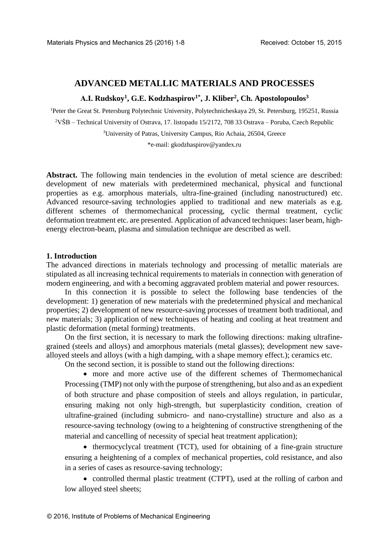# **ADVANCED METALLIC MATERIALS AND PROCESSES**

## **А.I. Rudskoy<sup>1</sup> , G.E. Kodzhaspirov1\*, J. Kliber<sup>2</sup> , Ch. Apostolopoulos<sup>3</sup>**

<sup>1</sup>Peter the Great St. Petersburg Polytechnic University, Polytechnicheskaya 29, St. Petersburg, 195251, Russia

<sup>2</sup>VŠB – Technical University of Ostrava, 17. listopadu 15/2172, 708 33 Ostrava – Poruba, Czech Republic

<sup>3</sup>University of Patras, University Campus, Rio Achaia, 26504, Greece

\*e-mail: gkodzhaspirov@yandex.ru

Abstract. The following main tendencies in the evolution of metal science are described: development of new materials with predetermined mechanical, physical and functional properties as e.g. amorphous materials, ultra-fine-grained (including nanostructured) etc. Advanced resource-saving technologies applied to traditional and new materials as e.g. different schemes of thermomechanical processing, cyclic thermal treatment, cyclic deformation treatment etc. are presented. Application of advanced techniques: laser beam, highenergy electron-beam, plasma and simulation technique are described as well.

### **1. Introduction**

The advanced directions in materials technology and processing of metallic materials are stipulated as all increasing technical requirements to materials in connection with generation of modern engineering, and with a becoming aggravated problem material and power resources.

In this connection it is possible to select the following base tendencies of the development: 1) generation of new materials with the predetermined physical and mechanical properties; 2) development of new resource-saving processes of treatment both traditional, and new materials; 3) application of new techniques of heating and cooling at heat treatment and plastic deformation (metal forming) treatments.

On the first section, it is necessary to mark the following directions: making ultrafinegrained (steels and alloys) and amorphous materials (metal glasses); development new savealloyed steels and alloys (with a high damping, with a shape memory effect.); ceramics etc.

On the second section, it is possible to stand out the following directions:

 more and more active use of the different schemes of Thermomechanical Processing (TMP) not only with the purpose of strengthening, but also and as an expedient of both structure and phase composition of steels and alloys regulation, in particular, ensuring making not only high-strength, but superplasticity condition, creation of ultrafine-grained (including submicro- and nano-crystalline) structure and also as a resource-saving technology (owing to a heightening of constructive strengthening of the material and cancelling of necessity of special heat treatment application);

• thermocyclycal treatment (TCT), used for obtaining of a fine-grain structure ensuring a heightening of a complex of mechanical properties, cold resistance, and also in a series of cases as resource-saving technology;

• controlled thermal plastic treatment (CTPT), used at the rolling of carbon and low alloyed steel sheets;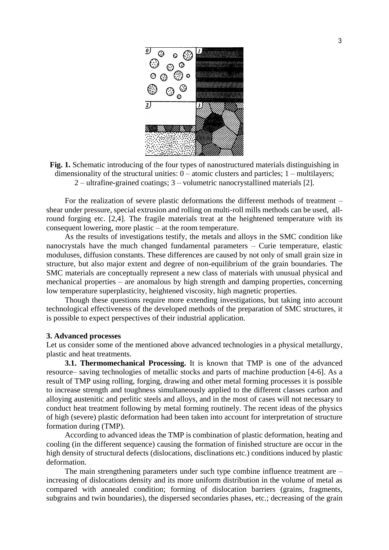

**Fig. 1.** Schematic introducing of the four types of nanostructured materials distinguishing in dimensionality of the structural unities: 0 – atomic clusters and particles; 1 – multilayers; 2 – ultrafine-grained coatings; 3 – volumetric nanocrystallined materials [2].

For the realization of severe plastic deformations the different methods of treatment – shear under pressure, special extrusion and rolling on multi-roll mills methods can be used, allround forging etc. [2,4]. The fragile materials treat at the heightened temperature with its consequent lowering, more plastic – at the room temperature.

As the results of investigations testify, the metals and alloys in the SMC condition like nanocrystals have the much changed fundamental parameters – Curie temperature, elastic moduluses, diffusion constants. These differences are caused by not only of small grain size in structure, but also major extent and degree of non-equilibrium of the grain boundaries. The SMC materials are conceptually represent a new class of materials with unusual physical and mechanical properties – are anomalous by high strength and damping properties, concerning low temperature superplasticity, heightened viscosity, high magnetic properties.

Though these questions require more extending investigations, but taking into account technological effectiveness of the developed methods of the preparation of SMC structures, it is possible to expect perspectives of their industrial application.

### **3. Advanced processes**

Let us consider some of the mentioned above advanced technologies in a physical metallurgy, plastic and heat treatments.

**3.1. Thermomechanical Processing.** It is known that TMP is one of the advanced resource– saving technologies of metallic stocks and parts of machine production [4-6]. As a result of TMP using rolling, forging, drawing and other metal forming processes it is possible to increase strength and toughness simultaneously applied to the different classes carbon and alloying austenitic and perlitic steels and alloys, and in the most of cases will not necessary to conduct heat treatment following by metal forming routinely. The recent ideas of the physics of high (severe) plastic deformation had been taken into account for interpretation of structure formation during (TMP).

According to advanced ideas the TMP is combination of plastic deformation, heating and cooling (in the different sequence) causing the formation of finished structure are occur in the high density of structural defects (dislocations, disclinations etc.) conditions induced by plastic deformation.

The main strengthening parameters under such type combine influence treatment are – increasing of dislocations density and its more uniform distribution in the volume of metal as compared with annealed condition; forming of dislocation barriers (grains, fragments, subgrains and twin boundaries), the dispersed secondaries phases, etc.; decreasing of the grain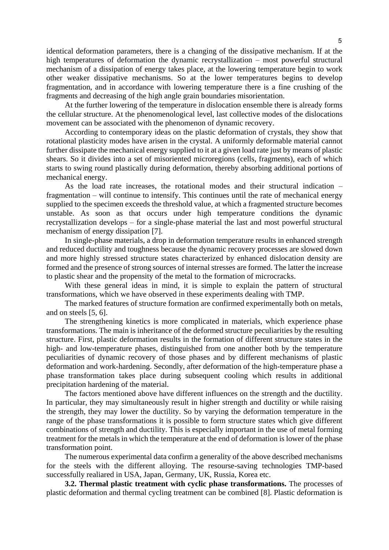identical deformation parameters, there is a changing of the dissipative mechanism. If at the high temperatures of deformation the dynamic recrystallization – most powerful structural mechanism of a dissipation of energy takes place, at the lowering temperature begin to work other weaker dissipative mechanisms. So at the lower temperatures begins to develop fragmentation, and in accordance with lowering temperature there is a fine crushing of the fragments and decreasing of the high angle grain boundaries misorientation.

At the further lowering of the temperature in dislocation ensemble there is already forms the cellular structure. At the phenomenological level, last collective modes of the dislocations movement can be associated with the phenomenon of dynamic recovery.

According to contemporary ideas on the plastic deformation of crystals, they show that rotational plasticity modes have arisen in the crystal. A uniformly deformable material cannot further dissipate the mechanical energy supplied to it at a given load rate just by means of plastic shears. So it divides into a set of misoriented microregions (cells, fragments), each of which starts to swing round plastically during deformation, thereby absorbing additional portions of mechanical energy.

As the load rate increases, the rotational modes and their structural indication – fragmentation – will continue to intensify. This continues until the rate of mechanical energy supplied to the specimen exceeds the threshold value, at which a fragmented structure becomes unstable. As soon as that occurs under high temperature conditions the dynamic recrystallization develops – for a single-phase material the last and most powerful structural mechanism of energy dissipation [7].

In single-phase materials, a drop in deformation temperature results in enhanced strength and reduced ductility and toughness because the dynamic recovery processes are slowed down and more highly stressed structure states characterized by enhanced dislocation density are formed and the presence of strong sources of internal stresses are formed. The latter the increase to plastic shear and the propensity of the metal to the formation of microcracks.

With these general ideas in mind, it is simple to explain the pattern of structural transformations, which we have observed in these experiments dealing with TMP.

The marked features of structure formation are confirmed experimentally both on metals, and on steels [5, 6].

The strengthening kinetics is more complicated in materials, which experience phase transformations. The main is inheritance of the deformed structure peculiarities by the resulting structure. First, plastic deformation results in the formation of different structure states in the high- and low-temperature phases, distinguished from one another both by the temperature peculiarities of dynamic recovery of those phases and by different mechanisms of plastic deformation and work-hardening. Secondly, after deformation of the high-temperature phase a phase transformation takes place during subsequent cooling which results in additional precipitation hardening of the material.

The factors mentioned above have different influences on the strength and the ductility. In particular, they may simultaneously result in higher strength and ductility or while raising the strength, they may lower the ductility. So by varying the deformation temperature in the range of the phase transformations it is possible to form structure states which give different combinations of strength and ductility. This is especially important in the use of metal forming treatment for the metals in which the temperature at the end of deformation is lower of the phase transformation point.

The numerous experimental data confirm a generality of the above described mechanisms for the steels with the different alloying. The resourse-saving technologies TMP-based successfully realiared in USA, Japan, Germany, UK, Russia, Korea etc.

**3.2. Thermal plastic treatment with cyclic phase transformations.** The processes of plastic deformation and thermal cycling treatment can be combined [8]. Plastic deformation is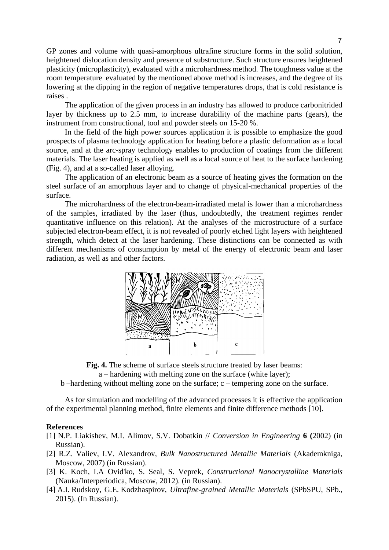GP zones and volume with quasi-amorphous ultrafine structure forms in the solid solution, heightened dislocation density and presence of substructure. Such structure ensures heightened plasticity (microplasticity), evaluated with a microhardness method. The toughness value at the room temperature evaluated by the mentioned above method is increases, and the degree of its lowering at the dipping in the region of negative temperatures drops, that is cold resistance is raises .

The application of the given process in an industry has allowed to produce carbonitrided layer by thickness up to 2.5 mm, to increase durability of the machine parts (gears), the instrument from constructional, tool and powder steels on 15-20 %.

In the field of the high power sources application it is possible to emphasize the good prospects of plasma technology application for heating before a plastic deformation as a local source, and at the arc-spray technology enables to production of coatings from the different materials. The laser heating is applied as well as a local source of heat to the surface hardening (Fig. 4), and at a so-called laser alloying.

The application of an electronic beam as a source of heating gives the formation on the steel surface of an amorphous layer and to change of physical-mechanical properties of the surface.

The microhardness of the electron-beam-irradiated metal is lower than a microhardness of the samples, irradiated by the laser (thus, undoubtedly, the treatment regimes render quantitative influence on this relation). At the analyses of the microstructure of a surface subjected electron-beam effect, it is not revealed of poorly etched light layers with heightened strength, which detect at the laser hardening. These distinctions can be connected as with different mechanisms of consumption by metal of the energy of electronic beam and laser radiation, as well as and other factors.





a – hardening with melting zone on the surface (white layer);

b –hardening without melting zone on the surface; c – tempering zone on the surface.

As for simulation and modelling of the advanced processes it is effective the application of the experimental planning method, finite elements and finite difference methods [10].

#### **References**

- [1] N.P. Liakishev, M.I. Alimov, S.V. Dobatkin // *Conversion in Engineering* **6 (**2002) (in Russian).
- [2] R.Z. Valiev, I.V. Alexandrov, *Bulk Nanostructured Metallic Materials* (Akademkniga, Moscow, 2007) (in Russian).
- [3] K. Koch, I.A Ovid'ko, S. Seal, S. Veprek, *Constructional Nanocrystalline Materials* (Nauka/Interperiodica, Moscow, 2012). (in Russian).
- [4] A.I. Rudskoy, G.E. Kodzhaspirov, *Ultrafine-grained Metallic Materials* (SPbSPU, SPb., 2015). (In Russian).